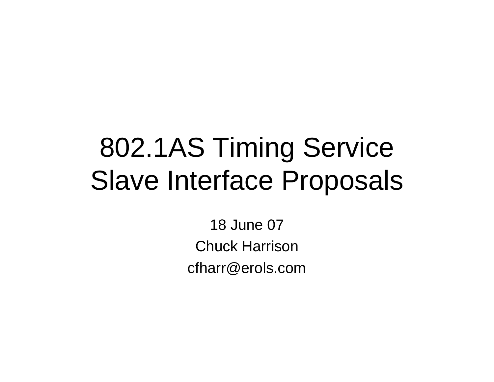# 802.1AS Timing ServiceSlave Interface Proposals

18 June 07Chuck Harrisoncfharr@erols.com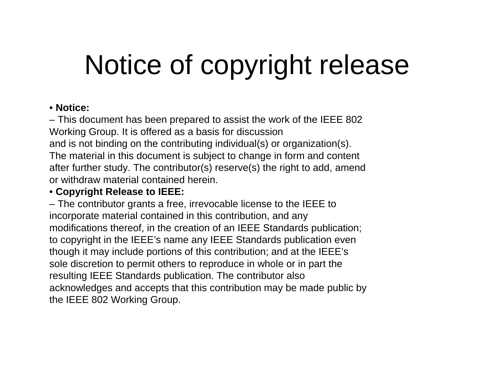# Notice of copyright release

### • **Notice:**

– This document has been prepared to assist the work of the IEEE 802Working Group. It is offered as a basis for discussion and is not binding on the contributing individual(s) or organization(s).The material in this document is subject to change in form and contentafter further study. The contributor(s) reserve(s) the right to add, amendor withdraw material contained herein.

### • **Copyright Release to IEEE:**

– The contributor grants a free, irrevocable license to the IEEE toincorporate material contained in this contribution, and any modifications thereof, in the creation of an IEEE Standards publication;to copyright in the IEEE's name any IEEE Standards publication eventhough it may include portions of this contribution; and at the IEEE's sole discretion to permit others to reproduce in whole or in part theresulting IEEE Standards publication. The contributor also acknowledges and accepts that this contribution may be made public bythe IEEE 802 Working Group.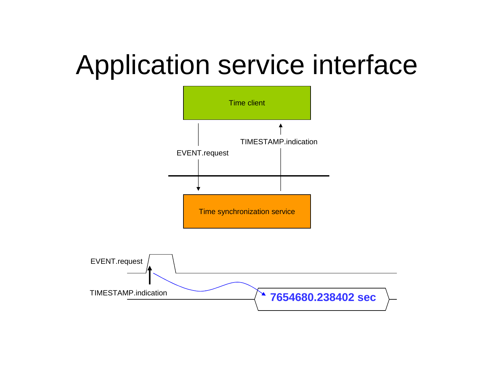# Application service interface

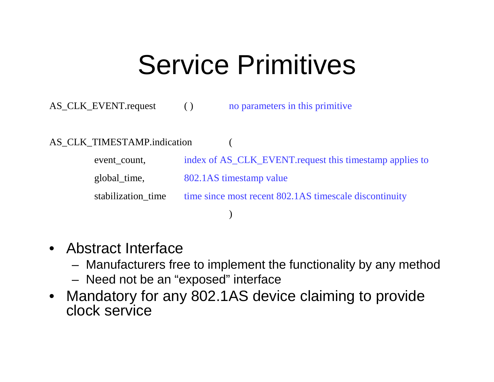### Service Primitives

AS\_CLK\_EVENT.request ( )no parameters in this primitive

#### AS CLK TIMESTAMP.indication

event\_count, index of AS\_CLK\_EVENT.request this timestamp applies toglobal\_time, 802.1AS timestamp valuestabilization\_time time since most recent 802.1AS timescale discontinuity)

- Abstract Interface
	- $\hspace{0.1em}$  N/Ianutacturare tr Manufacturers free to implement the functionality by any method
	- Need not be an "exposed" interface
- Mandatory for any 802.1AS device claiming to provide  $\bullet$ clock service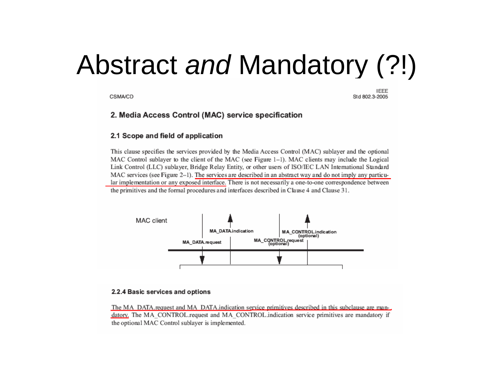# Abstract and Mandatory (?!)

CSMA/CD

Std 802.3-2005

#### 2. Media Access Control (MAC) service specification

#### 2.1 Scope and field of application

This clause specifies the services provided by the Media Access Control (MAC) sublayer and the optional MAC Control sublayer to the client of the MAC (see Figure 1-1). MAC clients may include the Logical Link Control (LLC) sublayer, Bridge Relay Entity, or other users of ISO/IEC LAN International Standard MAC services (see Figure 2–1). The services are described in an abstract way and do not imply any particular implementation or any exposed interface. There is not necessarily a one-to-one correspondence between the primitives and the formal procedures and interfaces described in Clause 4 and Clause 31.



#### 2.2.4 Basic services and options

The MA DATA request and MA DATA indication service primitives described in this subclause are mandatory. The MA CONTROL request and MA CONTROL indication service primitives are mandatory if the optional MAC Control sublayer is implemented.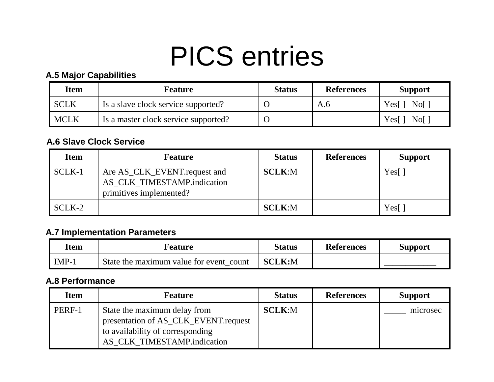# PICS entries

#### **A.5 Major Capabilities**

| <b>Item</b> | <b>Feature</b>                       | <b>Status</b> | <b>References</b> | <b>Support</b> |
|-------------|--------------------------------------|---------------|-------------------|----------------|
| SCLK        | Is a slave clock service supported?  |               | A.6               | Yes[] No[]     |
| MCLK        | Is a master clock service supported? |               |                   | Yes[] No[]     |

#### **A.6 Slave Clock Service**

| <b>Item</b> | <b>Feature</b>                                                                         | <b>Status</b> | <b>References</b> | <b>Support</b> |
|-------------|----------------------------------------------------------------------------------------|---------------|-------------------|----------------|
| SCLK-1      | Are AS_CLK_EVENT.request and<br>AS_CLK_TIMESTAMP.indication<br>primitives implemented? | <b>SCLK:M</b> |                   | Yes[           |
| SCLK-2      |                                                                                        | <b>SCLK:M</b> |                   | Yes[           |

#### **A.7 Implementation Parameters**

| Item    | Feature                                 | Status        | <b>References</b> | <b>Support</b> |
|---------|-----------------------------------------|---------------|-------------------|----------------|
| $IMP-1$ | State the maximum value for event count | <b>SCLK:M</b> |                   |                |

#### **A.8 Performance**

| <b>Item</b> | <b>Feature</b>                                                                                                                          | <b>Status</b> | <b>References</b> | <b>Support</b> |
|-------------|-----------------------------------------------------------------------------------------------------------------------------------------|---------------|-------------------|----------------|
| PERF-1      | State the maximum delay from<br>presentation of AS_CLK_EVENT.request<br>to availability of corresponding<br>AS CLK TIMESTAMP.indication | <b>SCLK:M</b> |                   | microsec       |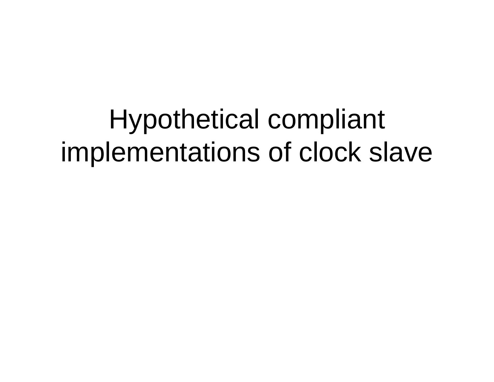Hypothetical compliant implementations of clock slave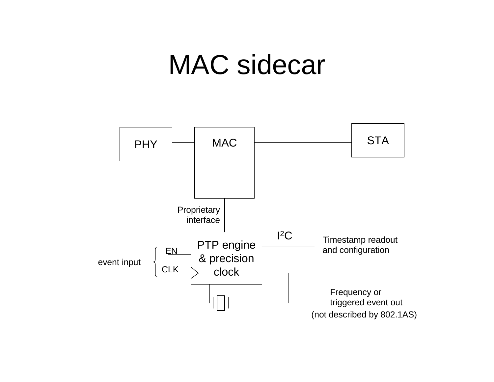### MAC sidecar

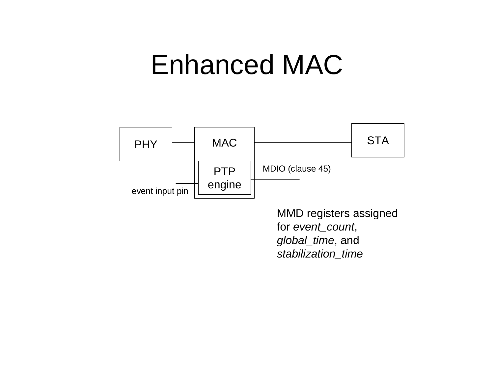### Enhanced MAC



MMD registers assigned for event\_count, global\_time, and stabilization\_time